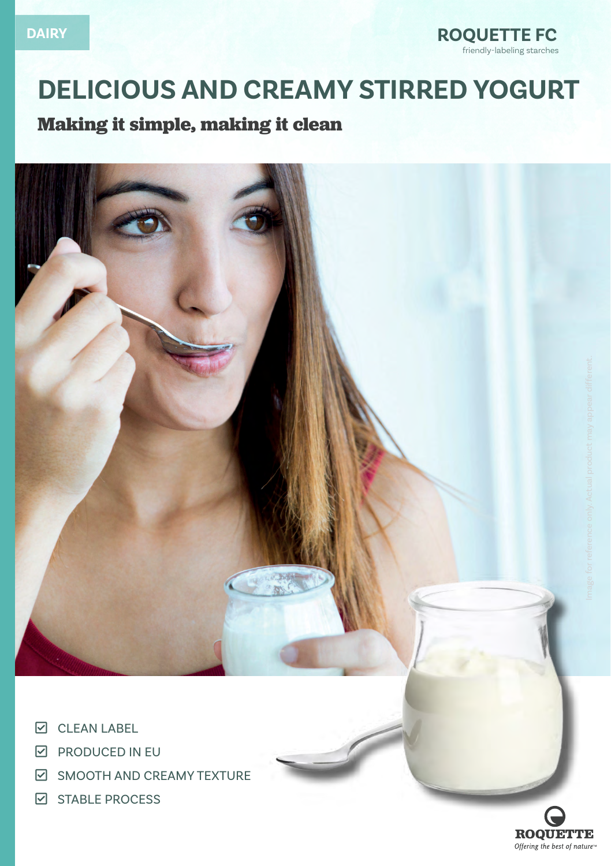

# **DELICIOUS AND CREAMY STIRRED YOGURT**

# **Making it simple, making it clean**



- **D** CLEAN LABEL
- $\boxdot$  PRODUCED IN EU
- **EDUARE CHECK-SMOOTH AND CREAMY TEXTURE**
- **Q STABLE PROCESS**